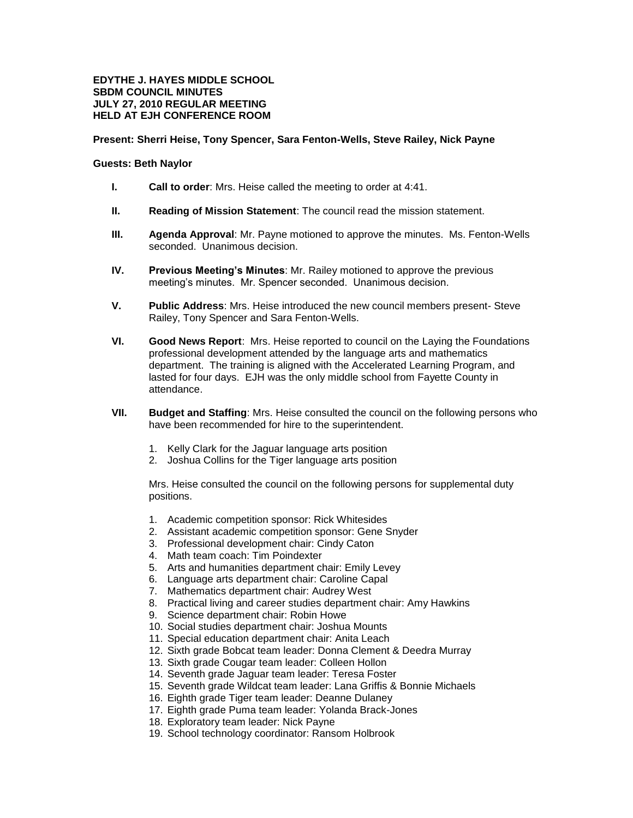## **EDYTHE J. HAYES MIDDLE SCHOOL SBDM COUNCIL MINUTES JULY 27, 2010 REGULAR MEETING HELD AT EJH CONFERENCE ROOM**

## **Present: Sherri Heise, Tony Spencer, Sara Fenton-Wells, Steve Railey, Nick Payne**

## **Guests: Beth Naylor**

- **I. Call to order**: Mrs. Heise called the meeting to order at 4:41.
- **II. Reading of Mission Statement**: The council read the mission statement.
- **III. Agenda Approval**: Mr. Payne motioned to approve the minutes. Ms. Fenton-Wells seconded. Unanimous decision.
- **IV. Previous Meeting's Minutes**: Mr. Railey motioned to approve the previous meeting's minutes. Mr. Spencer seconded. Unanimous decision.
- **V. Public Address**: Mrs. Heise introduced the new council members present- Steve Railey, Tony Spencer and Sara Fenton-Wells.
- **VI. Good News Report**: Mrs. Heise reported to council on the Laying the Foundations professional development attended by the language arts and mathematics department. The training is aligned with the Accelerated Learning Program, and lasted for four days. EJH was the only middle school from Fayette County in attendance.
- **VII. Budget and Staffing**: Mrs. Heise consulted the council on the following persons who have been recommended for hire to the superintendent.
	- 1. Kelly Clark for the Jaguar language arts position
	- 2. Joshua Collins for the Tiger language arts position

Mrs. Heise consulted the council on the following persons for supplemental duty positions.

- 1. Academic competition sponsor: Rick Whitesides
- 2. Assistant academic competition sponsor: Gene Snyder
- 3. Professional development chair: Cindy Caton
- 4. Math team coach: Tim Poindexter
- 5. Arts and humanities department chair: Emily Levey
- 6. Language arts department chair: Caroline Capal
- 7. Mathematics department chair: Audrey West
- 8. Practical living and career studies department chair: Amy Hawkins
- 9. Science department chair: Robin Howe
- 10. Social studies department chair: Joshua Mounts
- 11. Special education department chair: Anita Leach
- 12. Sixth grade Bobcat team leader: Donna Clement & Deedra Murray
- 13. Sixth grade Cougar team leader: Colleen Hollon
- 14. Seventh grade Jaguar team leader: Teresa Foster
- 15. Seventh grade Wildcat team leader: Lana Griffis & Bonnie Michaels
- 16. Eighth grade Tiger team leader: Deanne Dulaney
- 17. Eighth grade Puma team leader: Yolanda Brack-Jones
- 18. Exploratory team leader: Nick Payne
- 19. School technology coordinator: Ransom Holbrook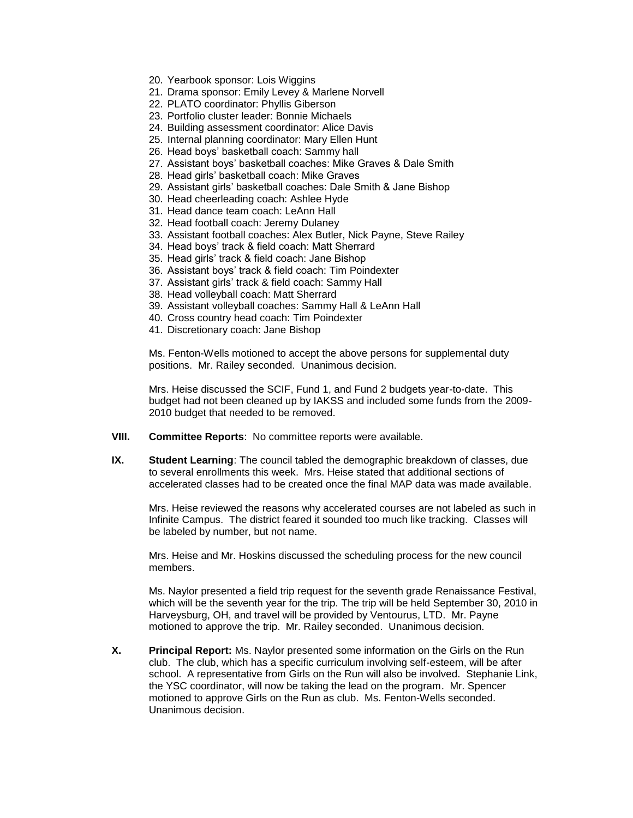- 20. Yearbook sponsor: Lois Wiggins
- 21. Drama sponsor: Emily Levey & Marlene Norvell
- 22. PLATO coordinator: Phyllis Giberson
- 23. Portfolio cluster leader: Bonnie Michaels
- 24. Building assessment coordinator: Alice Davis
- 25. Internal planning coordinator: Mary Ellen Hunt
- 26. Head boys' basketball coach: Sammy hall
- 27. Assistant boys' basketball coaches: Mike Graves & Dale Smith
- 28. Head girls' basketball coach: Mike Graves
- 29. Assistant girls' basketball coaches: Dale Smith & Jane Bishop
- 30. Head cheerleading coach: Ashlee Hyde
- 31. Head dance team coach: LeAnn Hall
- 32. Head football coach: Jeremy Dulaney
- 33. Assistant football coaches: Alex Butler, Nick Payne, Steve Railey
- 34. Head boys' track & field coach: Matt Sherrard
- 35. Head girls' track & field coach: Jane Bishop
- 36. Assistant boys' track & field coach: Tim Poindexter
- 37. Assistant girls' track & field coach: Sammy Hall
- 38. Head volleyball coach: Matt Sherrard
- 39. Assistant volleyball coaches: Sammy Hall & LeAnn Hall
- 40. Cross country head coach: Tim Poindexter
- 41. Discretionary coach: Jane Bishop

Ms. Fenton-Wells motioned to accept the above persons for supplemental duty positions. Mr. Railey seconded. Unanimous decision.

Mrs. Heise discussed the SCIF, Fund 1, and Fund 2 budgets year-to-date. This budget had not been cleaned up by IAKSS and included some funds from the 2009- 2010 budget that needed to be removed.

- **VIII. Committee Reports**: No committee reports were available.
- **IX. Student Learning**: The council tabled the demographic breakdown of classes, due to several enrollments this week. Mrs. Heise stated that additional sections of accelerated classes had to be created once the final MAP data was made available.

Mrs. Heise reviewed the reasons why accelerated courses are not labeled as such in Infinite Campus. The district feared it sounded too much like tracking. Classes will be labeled by number, but not name.

Mrs. Heise and Mr. Hoskins discussed the scheduling process for the new council members.

Ms. Naylor presented a field trip request for the seventh grade Renaissance Festival, which will be the seventh year for the trip. The trip will be held September 30, 2010 in Harveysburg, OH, and travel will be provided by Ventourus, LTD. Mr. Payne motioned to approve the trip. Mr. Railey seconded. Unanimous decision.

**X. Principal Report:** Ms. Naylor presented some information on the Girls on the Run club. The club, which has a specific curriculum involving self-esteem, will be after school. A representative from Girls on the Run will also be involved. Stephanie Link, the YSC coordinator, will now be taking the lead on the program. Mr. Spencer motioned to approve Girls on the Run as club. Ms. Fenton-Wells seconded. Unanimous decision.